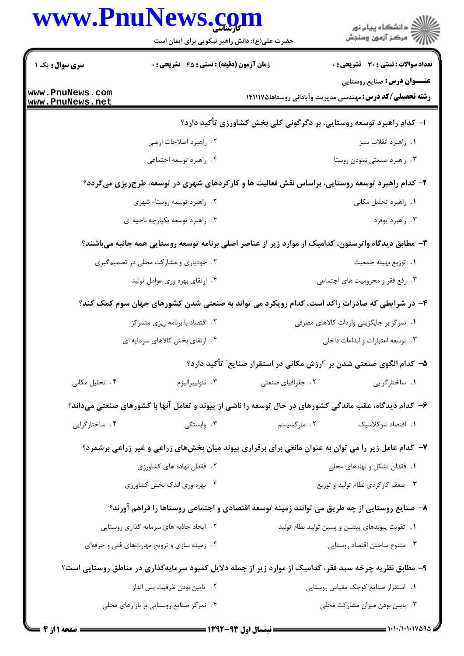|                                    | www.PnuNews.com<br>حضرت علی(ع): دانش راهبر نیکویی برای ایمان است                                       |                   | د دانشڪاه پيام نور<br>7- مرڪز آزمون وسنڊش                                                              |  |
|------------------------------------|--------------------------------------------------------------------------------------------------------|-------------------|--------------------------------------------------------------------------------------------------------|--|
| <b>سری سوال :</b> یک ۱             | زمان آزمون (دقیقه) : تستی : 45 آتشریحی : 0                                                             |                   | تعداد سوالات : تستي : 30 ٪ تشريحي : 0                                                                  |  |
| www.PnuNews.com<br>www.PnuNews.net |                                                                                                        |                   | <b>عنـــوان درس:</b> صنایع روستایی<br><b>رشته تحصیلی/کد درس:</b> مهندسی مدیریت وآبادانی روستاها۱۲۱۱۱۷۵ |  |
|                                    |                                                                                                        |                   | ا- کدام راهبرد توسعه روستایی، بر دگرگونی کلی بخش کشاورزی تأکید دارد؟                                   |  |
|                                    | ۰۲ راهبرد اصلاحات ارضى                                                                                 |                   | ٠١. راهبرد انقلاب سبز                                                                                  |  |
|                                    | ۰۴ راهبرد توسعه اجتماعي                                                                                |                   | ۰۳ راهبرد صنعتی نمودن روستا                                                                            |  |
|                                    | ۲- کدام راهبرد توسعه روستایی، براساس نقش فعالیت ها و کارکردهای شهری در توسعه، طرحریزی میگردد؟          |                   |                                                                                                        |  |
|                                    | ۰۲ راهبرد توسعه روستا- شهری                                                                            |                   | ۰۱ راهبرد تحلیل مکانی                                                                                  |  |
|                                    | ۰۴ راهبرد توسعه يكپارچه ناحيه اي                                                                       |                   | ۰۳ راهبرد یوفرد                                                                                        |  |
|                                    | ۳– مطابق دیدگاه واترستون، کدامیک از موارد زیر از عناصر اصلی برنامه توسعه روستایی همه جانبه میباشند؟    |                   |                                                                                                        |  |
|                                    | ۲ . خودیاری و مشارکت محلی در تصمیمگیری                                                                 |                   | ٠١. توزيع بهينه جمعيت                                                                                  |  |
|                                    | ۰۴ ارتقای بهره وری عوامل تولید                                                                         |                   | ۰۳ رفع فقر و محرومیت های اجتماعی                                                                       |  |
|                                    | ۴- در شرایطی که صادرات راکد است، کدام رویکرد می تواند به صنعتی شدن کشورهای جهان سوم کمک کند؟           |                   |                                                                                                        |  |
|                                    | ٢. اقتصاد با برنامه ريزي متمركز                                                                        |                   | ۰۱ تمرکز بر جایگزینی واردات کالاهای مصرفی                                                              |  |
|                                    | ۰۴ ارتقای بخش کالاهای سرمایه ای                                                                        |                   | ۰۳ توسعه اعتبارات و ابداعات داخلی                                                                      |  |
|                                    |                                                                                                        |                   | ۵– کدام الگوی صنعتی شدن بر ″ارزش مکانی در استقرار صنایع″ تأکید دارد؟                                   |  |
| ۰۴ تحلیل مکانی                     | ۰۳ نئوليبراليزم                                                                                        | ۲. جغرافیای صنعتی | ٠١. ساختارگرايي                                                                                        |  |
|                                    | ۶- کدام دیدگاه، عقب ماندگی کشورهای در حال توسعه را ناشی از پیوند و تعامل آنها با کشورهای صنعتی میداند؟ |                   |                                                                                                        |  |
| ۰۴ ساختارگرایی                     | ۰۳ وابستگی                                                                                             | ۰۲ مارکسیسم       | 1. اقتصاد نئوكلاسيك                                                                                    |  |
|                                    | ۷- کدام عامل زیر را می توان به عنوان مانعی برای برقراری پیوند میان بخشهای زراعی و غیر زراعی برشمرد؟    |                   |                                                                                                        |  |
|                                    | ۲. فقدان نهاده های کشاورزی                                                                             |                   | ۰۱ فقدان تشکل و نهادهای محلی                                                                           |  |
|                                    | ۰۴ بهره وري اندک بخش کشاورزي                                                                           |                   | ۰۳ ضعف کارکردی نظام تولید و توزیع                                                                      |  |
|                                    | ۸– صنایع روستایی از چه طریق می توانند زمینه توسعه اقتصادی و اجتماعی روستاها را فراهم آورند؟            |                   |                                                                                                        |  |
|                                    | ۲. ایجاد جاذبه های سرمایه گذاری روستایی                                                                |                   | ٠١. تقويت پيوندهاى پيشين و پسين توليد نظام توليد                                                       |  |
|                                    | ۰۴ زمینه سازی و ترویج مهارتهای فنی و حرفهای                                                            |                   | ٠٣ متنوع ساختن اقتصاد روستايي                                                                          |  |
|                                    | ۹- مطابق نظریه چرخه سبد فقر، کدامیک از موارد زیر از جمله دلایل کمبود سرمایهگذاری در مناطق روستایی است؟ |                   |                                                                                                        |  |
|                                    | ۰۲ پایین بودن ظرفیت پس انداز                                                                           |                   | ٠١. استقرار صنايع كوچك مقياس روستايي                                                                   |  |
|                                    | ۰۴ تمرکز صنایع روستایی بر بازارهای محلی                                                                |                   | ۰۳ پایین بودن میزان مشارکت محلی                                                                        |  |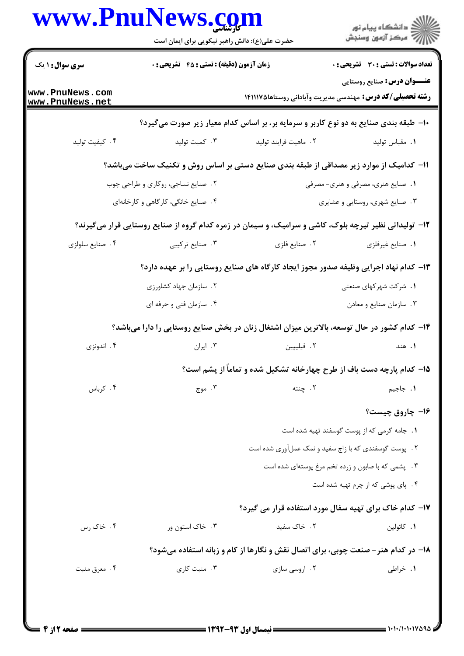|                                    | www.PnuNews.com<br>حضرت علی(ع): دانش راهبر نیکویی برای ایمان است |                                                                                                       | ڪ دانشڪاه پيا <sub>م</sub> نور<br><i>(7</i> مرڪز آزمون وسنڊش |  |
|------------------------------------|------------------------------------------------------------------|-------------------------------------------------------------------------------------------------------|--------------------------------------------------------------|--|
| <b>سری سوال : ۱ یک</b>             | زمان آزمون (دقیقه) : تستی : 45 آتشریحی : 0                       |                                                                                                       | <b>تعداد سوالات : تستی : 30 ٪ تشریحی : 0</b>                 |  |
| www.PnuNews.com<br>www.PnuNews.net |                                                                  | <b>رشته تحصیلی/کد درس:</b> مهندسی مدیریت وآبادانی روستاها۱۴۱۱۱۷۵                                      | <b>عنـــوان درس:</b> صنایع روستایی                           |  |
|                                    |                                                                  | ∙۱- طبقه بندی صنایع به دو نوع کاربر و سرمایه بر، بر اساس کدام معیار زیر صورت میگیرد؟                  |                                                              |  |
| ۰۴ کیفیت تولید                     | ۰۳ کمیت تولید                                                    | ٠٢ ماهيت فرايند توليد                                                                                 | ٠١. مقياس توليد                                              |  |
|                                    |                                                                  | 11– کدامیک از موارد زیر مصداقی از طبقه بندی صنایع دستی بر اساس روش و تکنیک ساخت میباشد؟               |                                                              |  |
|                                    | ۰۲ صنایع نساجی، روکاری و طراحی چوب                               |                                                                                                       | ۱. صنایع هنری، مصرفی و هنری- مصرفی                           |  |
|                                    | ۰۴ صنایع خانگی، کارگاهی و کارخانهای                              |                                                                                                       | ۰۳ صنایع شهری، روستایی و عشایری                              |  |
|                                    |                                                                  | ۱۲- تولیداتی نظیر تیرچه بلوک، کاشی و سرامیک، و سیمان در زمره کدام گروه از صنایع روستایی قرار میگیرند؟ |                                                              |  |
| ۰۴ صنايع سلولزي                    | ۰۳ صنایع ترکیبی                                                  | ۰۲ صنايع فلزي                                                                                         | ٠١. صنايع غيرفلزي                                            |  |
|                                    |                                                                  | ۱۳- کدام نهاد اجرایی وظیفه صدور مجوز ایجاد کارگاه های صنایع روستایی را بر عهده دارد؟                  |                                                              |  |
|                                    | ۰۲ سازمان جهاد کشاورزی                                           |                                                                                                       | ۰۱ شرکت شهرکهای صنعتی                                        |  |
|                                    | ۰۴ سازمان فني و حرفه اي                                          |                                                                                                       | ۰۳ سازمان صنايع و معادن                                      |  |
|                                    |                                                                  | ۱۴– کدام کشور در حال توسعه، بالاترین میزان اشتغال زنان در بخش صنایع روستایی را دارا میباشد؟           |                                                              |  |
| ۰۴ اندونزی                         | ۰۳ ایران                                                         | ۲. فیلیپین                                                                                            | ۱. هند                                                       |  |
|                                    |                                                                  | ۱۵– کدام پارچه دست باف از طرح چهارخانه تشکیل شده و تماماً از پشم است؟                                 |                                                              |  |
| ۰۴ کرباس                           | ۰۳ موج                                                           | ٢. چنته                                                                                               | ٠١. جاجيم                                                    |  |
|                                    |                                                                  |                                                                                                       | ۱۶- چاروق چیست؟                                              |  |
|                                    |                                                                  |                                                                                                       | 1. جامه گرمی که از پوست گوسفند تهیه شده است                  |  |
|                                    |                                                                  | ۲. پوست گوسفندی که با زاج سفید و نمک عملآوری شده است                                                  |                                                              |  |
|                                    |                                                                  |                                                                                                       | ۰۳ پشمی که با صابون و زرده تخم مرغ پوستهای شده است           |  |
|                                    |                                                                  |                                                                                                       | ۴. پای پوشی که از چرم تهیه شده است                           |  |
|                                    |                                                                  | ۱۷– کدام خاک برای تهیه سفال مورد استفاده قرار می گیرد؟                                                |                                                              |  |
| ۰۴ خاک رس                          | ۰۳ خاک استون ور                                                  | ٠٢. خاک سفيد                                                                                          | ٠١. كائولين                                                  |  |
|                                    |                                                                  | ۱۸- در کدام هنر – صنعت چوبی، برای اتصال نقش و نگارها از کام و زبانه استفاده میشود؟                    |                                                              |  |
| ۰۴ معرق منبت                       | ۰۳ منبت کاری                                                     | ۰۲ اروسی سازی                                                                                         | ۰۱ خراطی                                                     |  |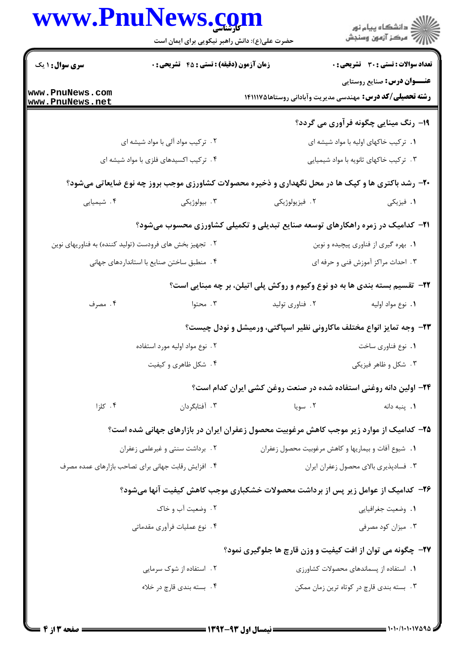|                                    | www.PnuNews.com<br>حضرت علی(ع): دانش راهبر نیکویی برای ایمان است |                 | الاد دانشگاه پيام نور<br>الا مرکز آزمون وسنجش                                                             |
|------------------------------------|------------------------------------------------------------------|-----------------|-----------------------------------------------------------------------------------------------------------|
| <b>سری سوال : ۱ یک</b>             | <b>زمان آزمون (دقیقه) : تستی : 45 گتشریحی : 0</b>                |                 | <b>تعداد سوالات : تستی : 30 ٪ تشریحی : 0</b>                                                              |
| www.PnuNews.com<br>www.PnuNews.net |                                                                  |                 | <b>عنـــوان درس:</b> صنایع روستایی<br><b>رشته تحصیلی/کد درس:</b> مهندسی مدیریت وآبادانی روستاها۱۴۱۱۱۷۵    |
|                                    |                                                                  |                 | <b>۱۹</b> - رنگ مینایی چگونه فرآوری می گردد؟                                                              |
|                                    | ۲. ترکیب مواد آلی با مواد شیشه ای                                |                 | ۰۱ ترکیب خاکهای اولیه با مواد شیشه ای                                                                     |
|                                    | ۴. ترکیب اکسیدهای فلزی با مواد شیشه ای                           |                 | ۰۳ ترکیب خاکهای ثانویه با مواد شیمیایی                                                                    |
|                                    |                                                                  |                 | <b>۲۰</b> - رشد باکتری ها و کپک ها در محل نگهداری و ذخیره محصولات کشاورزی موجب بروز چه نوع ضایعاتی میشود؟ |
| ۰۴ شیمیایی                         | ۰۳ بيولوژيکي                                                     | ۰۲ فیزیولوژیکی  | ۰۱ فیزیکی                                                                                                 |
|                                    |                                                                  |                 | <b>۲۱</b> - کدامیک در زمره راهکارهای توسعه صنایع تبدیلی و تکمیلی کشاورزی محسوب میشود؟                     |
|                                    | ۲ . تجهیز بخش های فرودست (تولید کننده) به فناوریهای نوین         |                 | ۰۱ بهره گیری از فناوری پیچیده و نوین                                                                      |
|                                    | ۰۴ منطبق ساختن صنایع با استانداردهای جهانی                       |                 | ۰۳ احداث مراکز آموزش فنی و حرفه ای                                                                        |
|                                    |                                                                  |                 | ۲۲- تقسیم بسته بندی ها به دو نوع وکیوم و روکش پلی اتیلن، بر چه مبنایی است؟                                |
| ۰۴ مصرف                            | ۰۳ محتوا                                                         | ۰۲ فناوری تولید | ٠١. نوع مواد اوليه                                                                                        |
|                                    |                                                                  |                 | ۲۳- وجه تمایز انواع مختلف ماکارونی نظیر اسپاگتی، ورمیشل و نودل چیست؟                                      |
|                                    | ۲. نوع مواد اولیه مورد استفاده                                   |                 | ٠١. نوع فناوري ساخت                                                                                       |
|                                    | ۴. شکل ظاهری و کیفیت                                             |                 | ۰۳ شکل و ظاهر فیزیکی                                                                                      |
|                                    |                                                                  |                 | ۲۴- اولین دانه روغنی استفاده شده در صنعت روغن کشی ایران کدام است؟                                         |
| ۰۴ کلزا                            | ۰۳ آفتابگردان                                                    | ۰۲ سویا         | ٠١. پنبه دانه                                                                                             |
|                                    |                                                                  |                 | ۲۵– کدامیک از موارد زیر موجب کاهش مرغوبیت محصول زعفران ایران در بازارهای جهانی شده است؟                   |
|                                    | ۰۲ برداشت سنتی و غیرعلمی زعفران                                  |                 | ٠١. شيوع آفات و بيماريها و كاهش مرغوبيت محصول زعفران                                                      |
|                                    | ۴. افزایش رقابت جهانی برای تصاحب بازارهای عمده مصرف              |                 | ٠٣ فسادپذيري بالاي محصول زعفران ايران                                                                     |
|                                    |                                                                  |                 | ۲۶- کدامیک از عوامل زیر پس از برداشت محصولات خشکباری موجب کاهش کیفیت آنها میشود؟                          |
|                                    | ۲. وضعیت آب و خاک                                                |                 | ٠١. وضعيت جغرافيايي                                                                                       |
|                                    | ۰۴ نوع عملیات فرآوری مقدماتی                                     |                 | ۰۳ میزان کود مصرفی                                                                                        |
|                                    |                                                                  |                 | <b>۲۷-</b> چگونه می توان از افت کیفیت و وزن قارچ ها جلوگیری نمود؟                                         |
|                                    | ۲ . استفاده از شوک سرمایی                                        |                 | ٠١. استفاده از پسماندهای محصولات كشاورزى                                                                  |
|                                    | ۰۴ بسته بندي قارچ در خلاء                                        |                 | ۰۳ بسته بندی قارچ در کوتاه ترین زمان ممکن                                                                 |
|                                    |                                                                  |                 |                                                                                                           |